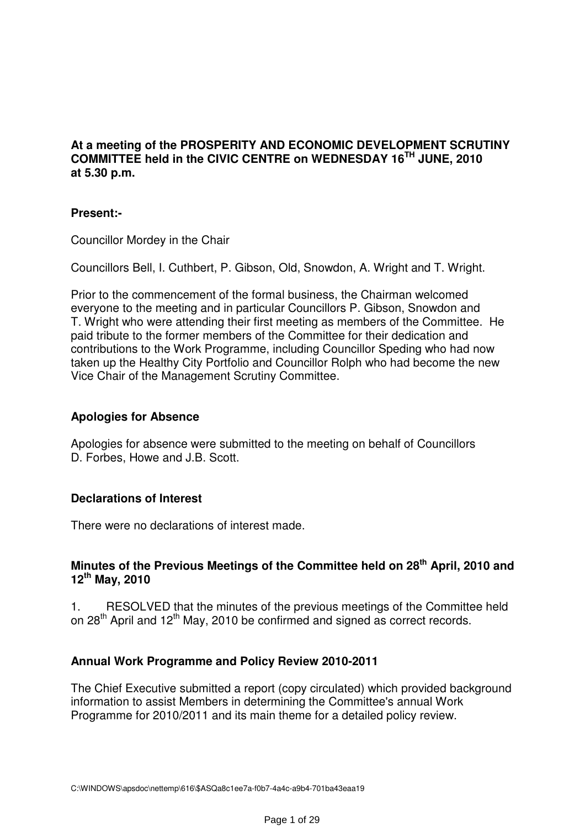### **At a meeting of the PROSPERITY AND ECONOMIC DEVELOPMENT SCRUTINY COMMITTEE held in the CIVIC CENTRE on WEDNESDAY 16TH JUNE, 2010 at 5.30 p.m.**

### **Present:-**

Councillor Mordey in the Chair

Councillors Bell, I. Cuthbert, P. Gibson, Old, Snowdon, A. Wright and T. Wright.

Prior to the commencement of the formal business, the Chairman welcomed everyone to the meeting and in particular Councillors P. Gibson, Snowdon and T. Wright who were attending their first meeting as members of the Committee. He paid tribute to the former members of the Committee for their dedication and contributions to the Work Programme, including Councillor Speding who had now taken up the Healthy City Portfolio and Councillor Rolph who had become the new Vice Chair of the Management Scrutiny Committee.

### **Apologies for Absence**

Apologies for absence were submitted to the meeting on behalf of Councillors D. Forbes, Howe and J.B. Scott.

### **Declarations of Interest**

There were no declarations of interest made.

### **Minutes of the Previous Meetings of the Committee held on 28th April, 2010 and 12th May, 2010**

1. RESOLVED that the minutes of the previous meetings of the Committee held on 28<sup>th</sup> April and 12<sup>th</sup> May, 2010 be confirmed and signed as correct records.

### **Annual Work Programme and Policy Review 2010-2011**

The Chief Executive submitted a report (copy circulated) which provided background information to assist Members in determining the Committee's annual Work Programme for 2010/2011 and its main theme for a detailed policy review.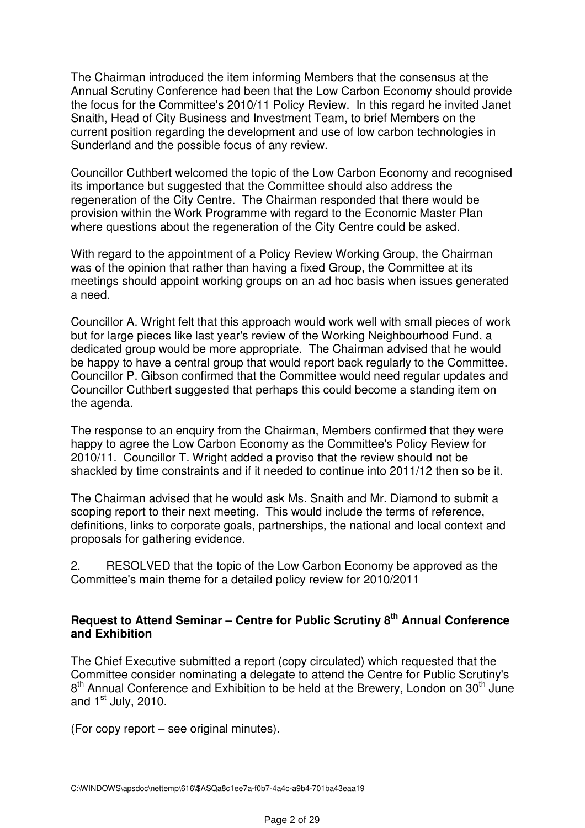The Chairman introduced the item informing Members that the consensus at the Annual Scrutiny Conference had been that the Low Carbon Economy should provide the focus for the Committee's 2010/11 Policy Review. In this regard he invited Janet Snaith, Head of City Business and Investment Team, to brief Members on the current position regarding the development and use of low carbon technologies in Sunderland and the possible focus of any review.

Councillor Cuthbert welcomed the topic of the Low Carbon Economy and recognised its importance but suggested that the Committee should also address the regeneration of the City Centre. The Chairman responded that there would be provision within the Work Programme with regard to the Economic Master Plan where questions about the regeneration of the City Centre could be asked.

With regard to the appointment of a Policy Review Working Group, the Chairman was of the opinion that rather than having a fixed Group, the Committee at its meetings should appoint working groups on an ad hoc basis when issues generated a need.

Councillor A. Wright felt that this approach would work well with small pieces of work but for large pieces like last year's review of the Working Neighbourhood Fund, a dedicated group would be more appropriate. The Chairman advised that he would be happy to have a central group that would report back regularly to the Committee. Councillor P. Gibson confirmed that the Committee would need regular updates and Councillor Cuthbert suggested that perhaps this could become a standing item on the agenda.

The response to an enquiry from the Chairman, Members confirmed that they were happy to agree the Low Carbon Economy as the Committee's Policy Review for 2010/11. Councillor T. Wright added a proviso that the review should not be shackled by time constraints and if it needed to continue into 2011/12 then so be it.

The Chairman advised that he would ask Ms. Snaith and Mr. Diamond to submit a scoping report to their next meeting. This would include the terms of reference, definitions, links to corporate goals, partnerships, the national and local context and proposals for gathering evidence.

2. RESOLVED that the topic of the Low Carbon Economy be approved as the Committee's main theme for a detailed policy review for 2010/2011

### **Request to Attend Seminar – Centre for Public Scrutiny 8th Annual Conference and Exhibition**

The Chief Executive submitted a report (copy circulated) which requested that the Committee consider nominating a delegate to attend the Centre for Public Scrutiny's 8<sup>th</sup> Annual Conference and Exhibition to be held at the Brewery, London on 30<sup>th</sup> June and  $1<sup>st</sup>$  July, 2010.

(For copy report – see original minutes).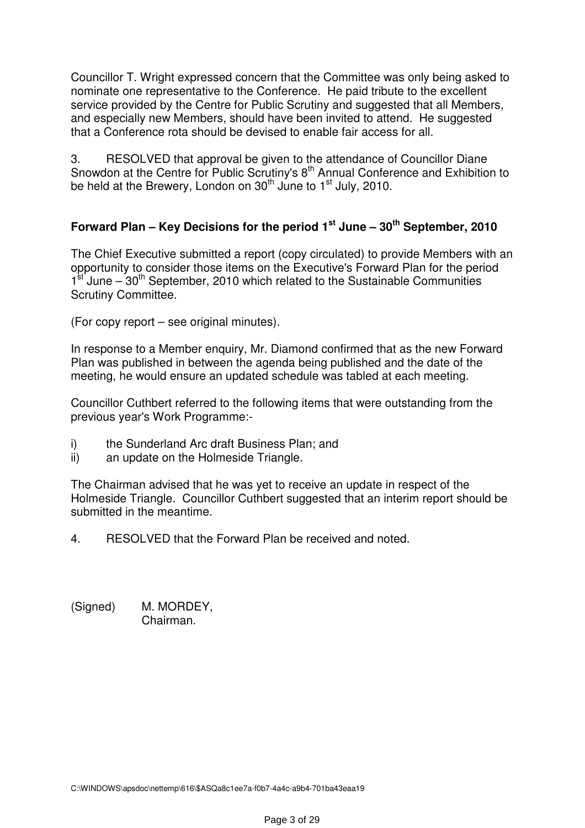Councillor T. Wright expressed concern that the Committee was only being asked to nominate one representative to the Conference. He paid tribute to the excellent service provided by the Centre for Public Scrutiny and suggested that all Members, and especially new Members, should have been invited to attend. He suggested that a Conference rota should be devised to enable fair access for all.

3. RESOLVED that approval be given to the attendance of Councillor Diane Snowdon at the Centre for Public Scrutiny's  $8<sup>th</sup>$  Annual Conference and Exhibition to be held at the Brewery, London on 30<sup>th</sup> June to 1<sup>st</sup> July, 2010.

## **Forward Plan – Key Decisions for the period 1st June – 30th September, 2010**

The Chief Executive submitted a report (copy circulated) to provide Members with an opportunity to consider those items on the Executive's Forward Plan for the period  $1<sup>st</sup>$  June – 30<sup>th</sup> September, 2010 which related to the Sustainable Communities Scrutiny Committee.

(For copy report – see original minutes).

In response to a Member enquiry, Mr. Diamond confirmed that as the new Forward Plan was published in between the agenda being published and the date of the meeting, he would ensure an updated schedule was tabled at each meeting.

Councillor Cuthbert referred to the following items that were outstanding from the previous year's Work Programme:-

- i) the Sunderland Arc draft Business Plan; and
- ii) an update on the Holmeside Triangle.

The Chairman advised that he was yet to receive an update in respect of the Holmeside Triangle. Councillor Cuthbert suggested that an interim report should be submitted in the meantime.

4. RESOLVED that the Forward Plan be received and noted.

(Signed) M. MORDEY, Chairman.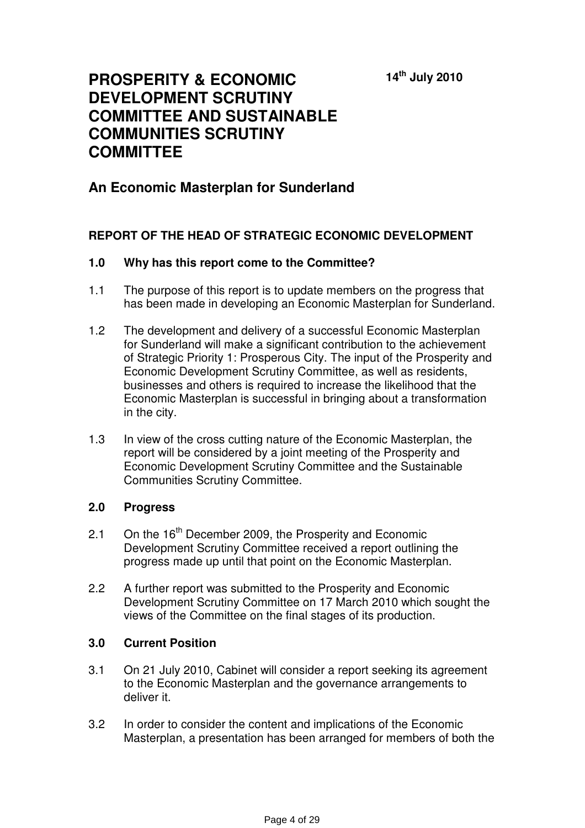**14th July 2010** 

# **PROSPERITY & ECONOMIC DEVELOPMENT SCRUTINY COMMITTEE AND SUSTAINABLE COMMUNITIES SCRUTINY COMMITTEE**

# **An Economic Masterplan for Sunderland**

### **REPORT OF THE HEAD OF STRATEGIC ECONOMIC DEVELOPMENT**

### **1.0 Why has this report come to the Committee?**

- 1.1 The purpose of this report is to update members on the progress that has been made in developing an Economic Masterplan for Sunderland.
- 1.2 The development and delivery of a successful Economic Masterplan for Sunderland will make a significant contribution to the achievement of Strategic Priority 1: Prosperous City. The input of the Prosperity and Economic Development Scrutiny Committee, as well as residents, businesses and others is required to increase the likelihood that the Economic Masterplan is successful in bringing about a transformation in the city.
- 1.3 In view of the cross cutting nature of the Economic Masterplan, the report will be considered by a joint meeting of the Prosperity and Economic Development Scrutiny Committee and the Sustainable Communities Scrutiny Committee.

### **2.0 Progress**

- 2.1 On the 16<sup>th</sup> December 2009, the Prosperity and Economic Development Scrutiny Committee received a report outlining the progress made up until that point on the Economic Masterplan.
- 2.2 A further report was submitted to the Prosperity and Economic Development Scrutiny Committee on 17 March 2010 which sought the views of the Committee on the final stages of its production.

### **3.0 Current Position**

- 3.1 On 21 July 2010, Cabinet will consider a report seeking its agreement to the Economic Masterplan and the governance arrangements to deliver it.
- 3.2 In order to consider the content and implications of the Economic Masterplan, a presentation has been arranged for members of both the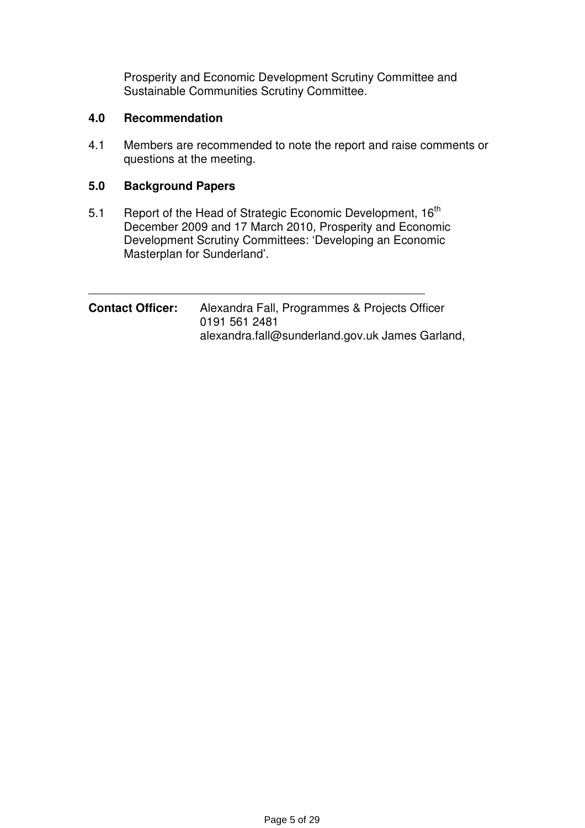Prosperity and Economic Development Scrutiny Committee and Sustainable Communities Scrutiny Committee.

### **4.0 Recommendation**

4.1 Members are recommended to note the report and raise comments or questions at the meeting.

### **5.0 Background Papers**

5.1 Report of the Head of Strategic Economic Development, 16<sup>th</sup> December 2009 and 17 March 2010, Prosperity and Economic Development Scrutiny Committees: 'Developing an Economic Masterplan for Sunderland'.

| <b>Contact Officer:</b> | Alexandra Fall, Programmes & Projects Officer   |
|-------------------------|-------------------------------------------------|
|                         | 0191 561 2481                                   |
|                         | alexandra.fall@sunderland.gov.uk James Garland, |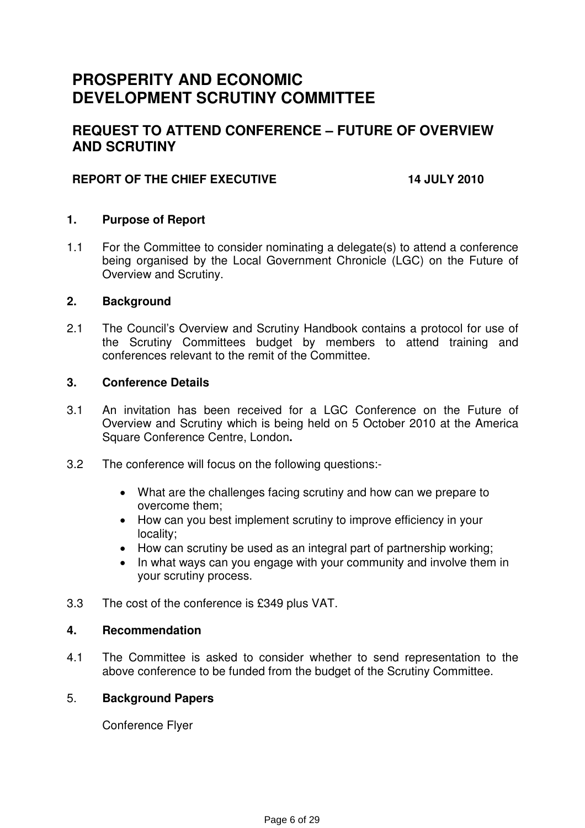# **PROSPERITY AND ECONOMIC DEVELOPMENT SCRUTINY COMMITTEE**

# **REQUEST TO ATTEND CONFERENCE – FUTURE OF OVERVIEW AND SCRUTINY**

### **REPORT OF THE CHIEF EXECUTIVE 14 JULY 2010**

### **1. Purpose of Report**

1.1 For the Committee to consider nominating a delegate(s) to attend a conference being organised by the Local Government Chronicle (LGC) on the Future of Overview and Scrutiny.

### **2. Background**

2.1 The Council's Overview and Scrutiny Handbook contains a protocol for use of the Scrutiny Committees budget by members to attend training and conferences relevant to the remit of the Committee.

### **3. Conference Details**

- 3.1 An invitation has been received for a LGC Conference on the Future of Overview and Scrutiny which is being held on 5 October 2010 at the America Square Conference Centre, London**.**
- 3.2 The conference will focus on the following questions:-
	- What are the challenges facing scrutiny and how can we prepare to overcome them;
	- How can you best implement scrutiny to improve efficiency in your locality;
	- How can scrutiny be used as an integral part of partnership working;
	- In what ways can you engage with your community and involve them in your scrutiny process.
- 3.3 The cost of the conference is £349 plus VAT.

### **4. Recommendation**

4.1 The Committee is asked to consider whether to send representation to the above conference to be funded from the budget of the Scrutiny Committee.

### 5. **Background Papers**

Conference Flyer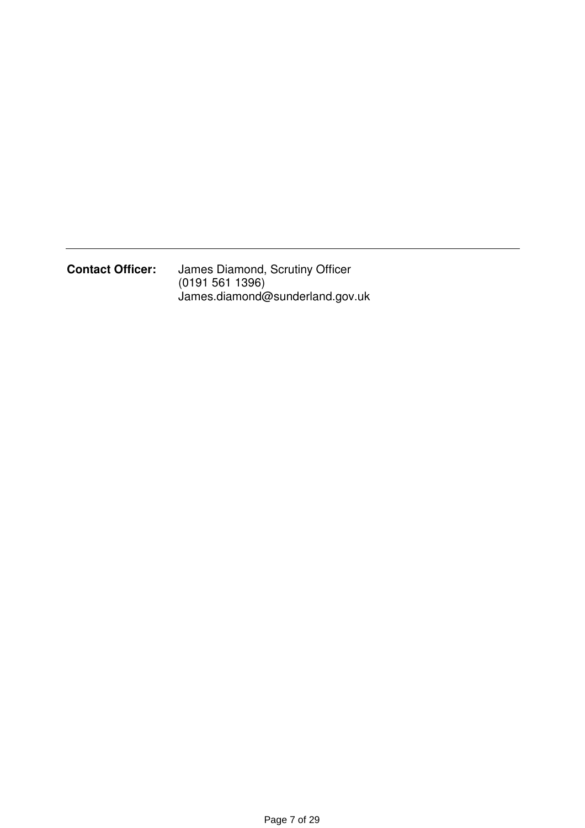**Contact Officer:** James Diamond, Scrutiny Officer (0191 561 1396) James.diamond@sunderland.gov.uk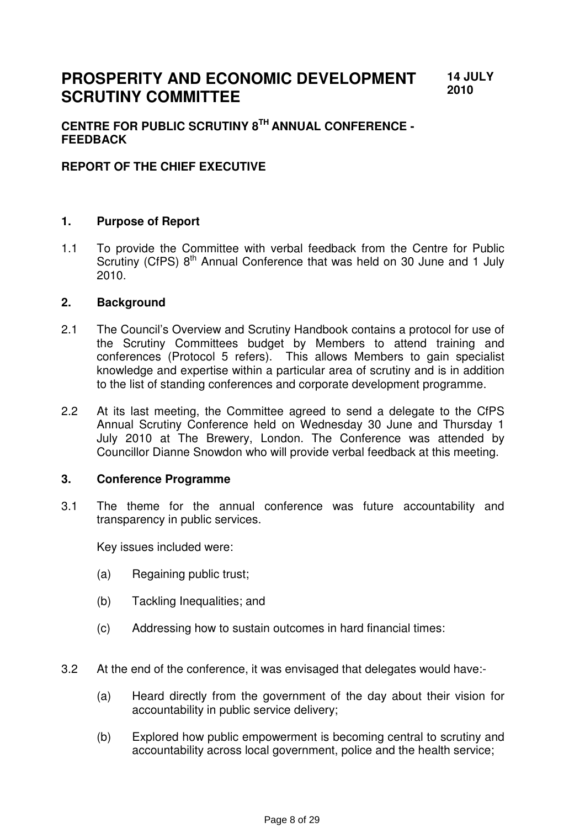#### **PROSPERITY AND ECONOMIC DEVELOPMENT SCRUTINY COMMITTEE 14 JULY 2010**

### **CENTRE FOR PUBLIC SCRUTINY 8TH ANNUAL CONFERENCE - FEEDBACK**

### **REPORT OF THE CHIEF EXECUTIVE**

### **1. Purpose of Report**

1.1 To provide the Committee with verbal feedback from the Centre for Public Scrutiny (CfPS) 8<sup>th</sup> Annual Conference that was held on 30 June and 1 July 2010.

#### **2. Background**

- 2.1 The Council's Overview and Scrutiny Handbook contains a protocol for use of the Scrutiny Committees budget by Members to attend training and conferences (Protocol 5 refers). This allows Members to gain specialist knowledge and expertise within a particular area of scrutiny and is in addition to the list of standing conferences and corporate development programme.
- 2.2 At its last meeting, the Committee agreed to send a delegate to the CfPS Annual Scrutiny Conference held on Wednesday 30 June and Thursday 1 July 2010 at The Brewery, London. The Conference was attended by Councillor Dianne Snowdon who will provide verbal feedback at this meeting.

#### **3. Conference Programme**

3.1 The theme for the annual conference was future accountability and transparency in public services.

Key issues included were:

- (a) Regaining public trust;
- (b) Tackling Inequalities; and
- (c) Addressing how to sustain outcomes in hard financial times:
- 3.2 At the end of the conference, it was envisaged that delegates would have:-
	- (a) Heard directly from the government of the day about their vision for accountability in public service delivery;
	- (b) Explored how public empowerment is becoming central to scrutiny and accountability across local government, police and the health service;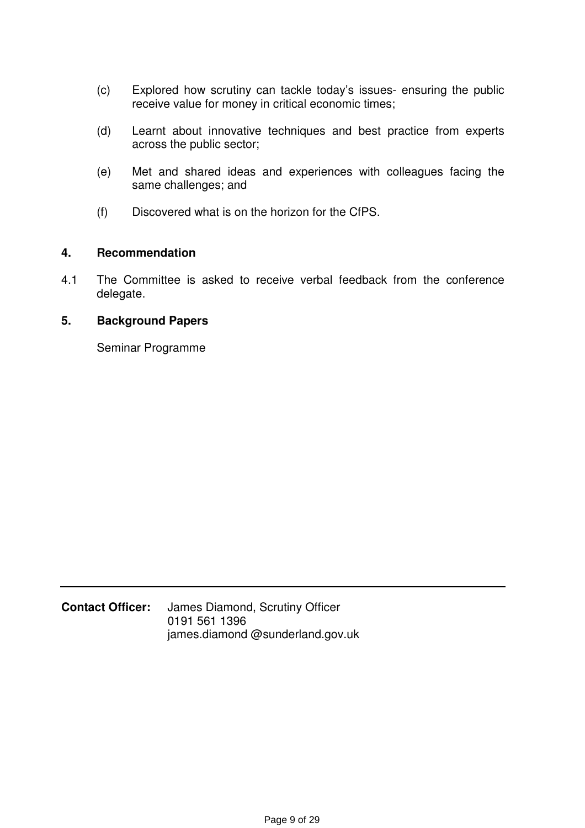- (c) Explored how scrutiny can tackle today's issues- ensuring the public receive value for money in critical economic times;
- (d) Learnt about innovative techniques and best practice from experts across the public sector;
- (e) Met and shared ideas and experiences with colleagues facing the same challenges; and
- (f) Discovered what is on the horizon for the CfPS.

### **4. Recommendation**

4.1 The Committee is asked to receive verbal feedback from the conference delegate.

### **5. Background Papers**

Seminar Programme

### **Contact Officer:** James Diamond, Scrutiny Officer 0191 561 1396 james.diamond @sunderland.gov.uk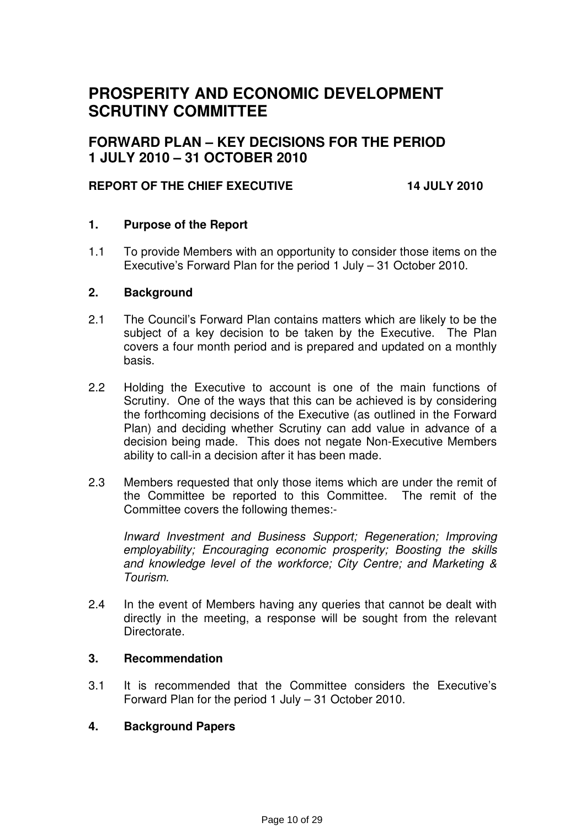# **PROSPERITY AND ECONOMIC DEVELOPMENT SCRUTINY COMMITTEE**

# **FORWARD PLAN – KEY DECISIONS FOR THE PERIOD 1 JULY 2010 – 31 OCTOBER 2010**

### **REPORT OF THE CHIEF EXECUTIVE 14 JULY 2010**

### **1. Purpose of the Report**

1.1 To provide Members with an opportunity to consider those items on the Executive's Forward Plan for the period 1 July – 31 October 2010.

#### **2. Background**

- 2.1 The Council's Forward Plan contains matters which are likely to be the subject of a key decision to be taken by the Executive. The Plan covers a four month period and is prepared and updated on a monthly basis.
- 2.2 Holding the Executive to account is one of the main functions of Scrutiny. One of the ways that this can be achieved is by considering the forthcoming decisions of the Executive (as outlined in the Forward Plan) and deciding whether Scrutiny can add value in advance of a decision being made. This does not negate Non-Executive Members ability to call-in a decision after it has been made.
- 2.3 Members requested that only those items which are under the remit of the Committee be reported to this Committee. The remit of the Committee covers the following themes:-

Inward Investment and Business Support; Regeneration; Improving employability; Encouraging economic prosperity; Boosting the skills and knowledge level of the workforce; City Centre; and Marketing & Tourism.

2.4 In the event of Members having any queries that cannot be dealt with directly in the meeting, a response will be sought from the relevant Directorate.

### **3. Recommendation**

3.1 It is recommended that the Committee considers the Executive's Forward Plan for the period 1 July – 31 October 2010.

### **4. Background Papers**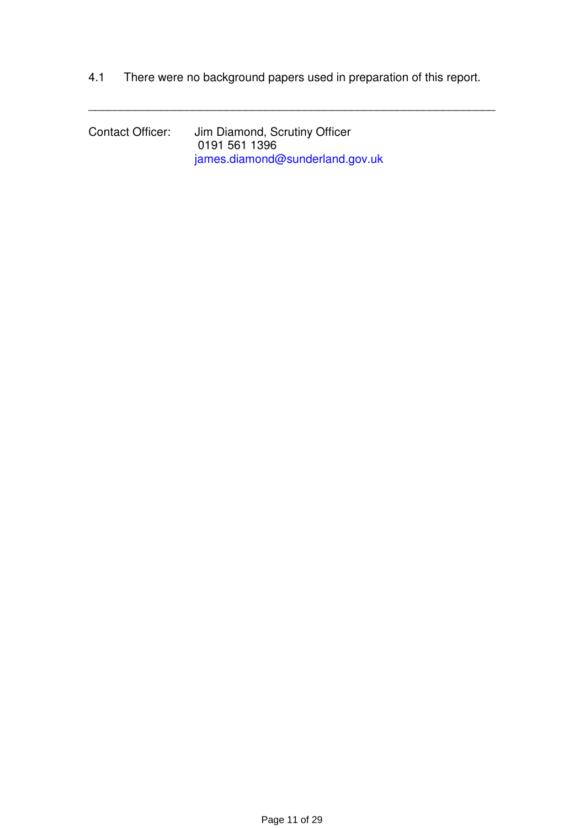4.1 There were no background papers used in preparation of this report.

\_\_\_\_\_\_\_\_\_\_\_\_\_\_\_\_\_\_\_\_\_\_\_\_\_\_\_\_\_\_\_\_\_\_\_\_\_\_\_\_\_\_\_\_\_\_\_\_\_\_\_\_\_\_\_\_\_\_\_\_\_\_

Contact Officer: Jim Diamond, Scrutiny Officer 0191 561 1396 james.diamond@sunderland.gov.uk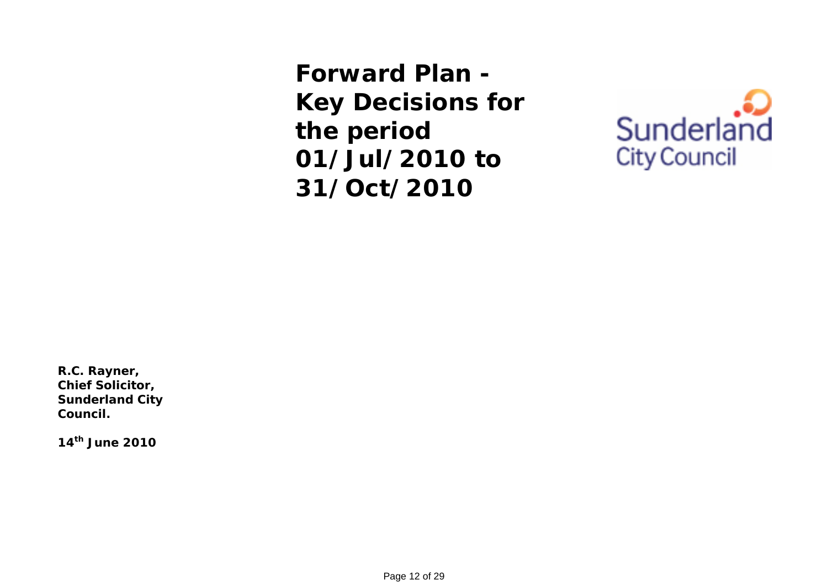**Forward Plan - Key Decisions for the period 01/Jul/2010 to 31/Oct/2010** 



**R.C. Rayner, Chief Solicitor, Sunderland City Council.** 

**14th June 2010**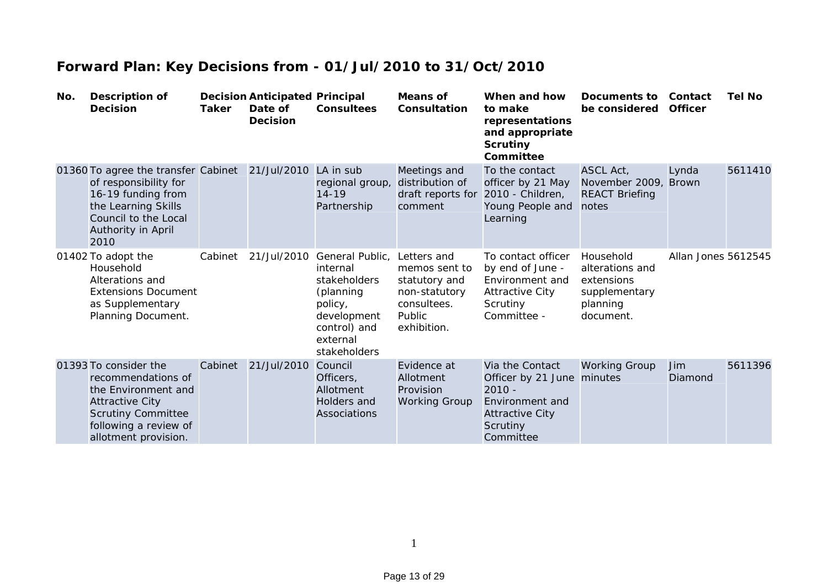| No. | <b>Description of</b><br><b>Decision</b>                                                                                                                                   | Taker   | <b>Decision Anticipated Principal</b><br>Date of<br><b>Decision</b> | <b>Consultees</b>                                                                                                                     | Means of<br>Consultation                                                                               | When and how<br>to make<br>representations<br>and appropriate<br><b>Scrutiny</b><br>Committee                                   | Documents to<br>be considered                                                        | Contact<br><b>Officer</b> | Tel No  |
|-----|----------------------------------------------------------------------------------------------------------------------------------------------------------------------------|---------|---------------------------------------------------------------------|---------------------------------------------------------------------------------------------------------------------------------------|--------------------------------------------------------------------------------------------------------|---------------------------------------------------------------------------------------------------------------------------------|--------------------------------------------------------------------------------------|---------------------------|---------|
|     | 01360 To agree the transfer Cabinet<br>of responsibility for<br>16-19 funding from<br>the Learning Skills<br>Council to the Local<br>Authority in April<br>2010            |         | 21/Jul/2010 LA in sub                                               | regional group,<br>$14 - 19$<br>Partnership                                                                                           | Meetings and<br>distribution of<br>draft reports for<br>comment                                        | To the contact<br>officer by 21 May<br>2010 - Children,<br>Young People and<br>Learning                                         | ASCL Act,<br>November 2009, Brown<br><b>REACT Briefing</b><br>notes                  | Lynda                     | 5611410 |
|     | 01402 To adopt the<br>Household<br>Alterations and<br><b>Extensions Document</b><br>as Supplementary<br>Planning Document.                                                 | Cabinet | 21/Jul/2010                                                         | General Public,<br>internal<br><b>stakeholders</b><br>(planning<br>policy,<br>development<br>control) and<br>external<br>stakeholders | Letters and<br>memos sent to<br>statutory and<br>non-statutory<br>consultees.<br>Public<br>exhibition. | To contact officer<br>by end of June -<br>Environment and<br><b>Attractive City</b><br>Scrutiny<br>Committee -                  | Household<br>alterations and<br>extensions<br>supplementary<br>planning<br>document. | Allan Jones 5612545       |         |
|     | 01393 To consider the<br>recommendations of<br>the Environment and<br><b>Attractive City</b><br><b>Scrutiny Committee</b><br>following a review of<br>allotment provision. | Cabinet | 21/Jul/2010                                                         | Council<br>Officers,<br>Allotment<br>Holders and<br>Associations                                                                      | Evidence at<br>Allotment<br>Provision<br><b>Working Group</b>                                          | Via the Contact<br>Officer by 21 June minutes<br>$2010 -$<br>Environment and<br><b>Attractive City</b><br>Scrutiny<br>Committee | <b>Working Group</b>                                                                 | Jim<br>Diamond            | 5611396 |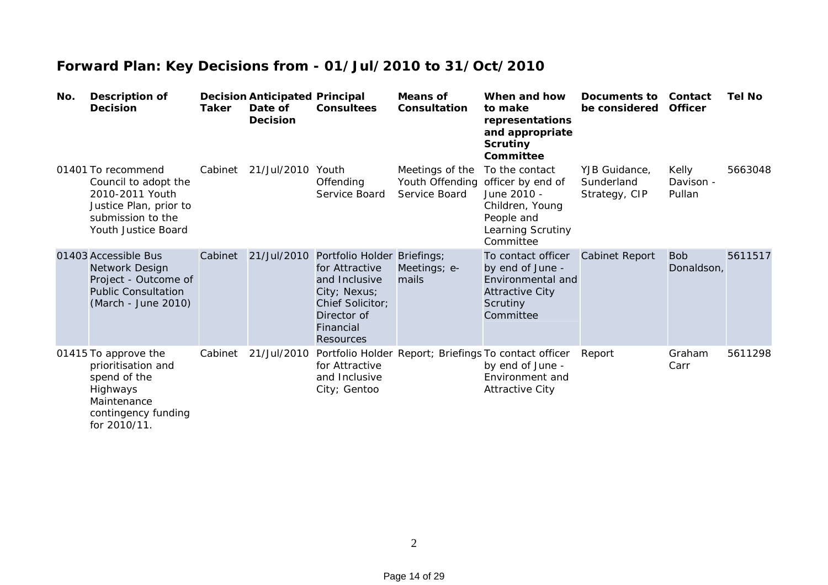| No. | <b>Description of</b><br><b>Decision</b>                                                                                            | Taker   | <b>Decision Anticipated Principal</b><br>Date of<br><b>Decision</b> | <b>Consultees</b>                                                                                                                                  | <b>Means of</b><br>Consultation                     | When and how<br>to make<br>representations<br>and appropriate<br><b>Scrutiny</b><br>Committee                          | Documents to<br>be considered                | Contact<br><b>Officer</b>    | <b>Tel No</b> |
|-----|-------------------------------------------------------------------------------------------------------------------------------------|---------|---------------------------------------------------------------------|----------------------------------------------------------------------------------------------------------------------------------------------------|-----------------------------------------------------|------------------------------------------------------------------------------------------------------------------------|----------------------------------------------|------------------------------|---------------|
|     | 01401 To recommend<br>Council to adopt the<br>2010-2011 Youth<br>Justice Plan, prior to<br>submission to the<br>Youth Justice Board | Cabinet | 21/Jul/2010 Youth                                                   | Offending<br>Service Board                                                                                                                         | Meetings of the<br>Youth Offending<br>Service Board | To the contact<br>officer by end of<br>June 2010 -<br>Children, Young<br>People and<br>Learning Scrutiny<br>Committee  | YJB Guidance,<br>Sunderland<br>Strategy, CIP | Kelly<br>Davison -<br>Pullan | 5663048       |
|     | 01403 Accessible Bus<br>Network Design<br>Project - Outcome of<br><b>Public Consultation</b><br>(March - June 2010)                 | Cabinet | 21/Jul/2010                                                         | Portfolio Holder Briefings;<br>for Attractive<br>and Inclusive<br>City; Nexus;<br>Chief Solicitor;<br>Director of<br>Financial<br><b>Resources</b> | Meetings; e-<br>mails                               | To contact officer<br>by end of June -<br>Environmental and<br><b>Attractive City</b><br>Scrutiny<br>Committee         | <b>Cabinet Report</b>                        | <b>Bob</b><br>Donaldson,     | 5611517       |
|     | 01415 To approve the<br>prioritisation and<br>spend of the<br>Highways<br>Maintenance<br>contingency funding<br>for 2010/11.        | Cabinet | 21/Jul/2010                                                         | for Attractive<br>and Inclusive<br>City; Gentoo                                                                                                    |                                                     | Portfolio Holder Report; Briefings To contact officer<br>by end of June -<br>Environment and<br><b>Attractive City</b> | Report                                       | Graham<br>Carr               | 5611298       |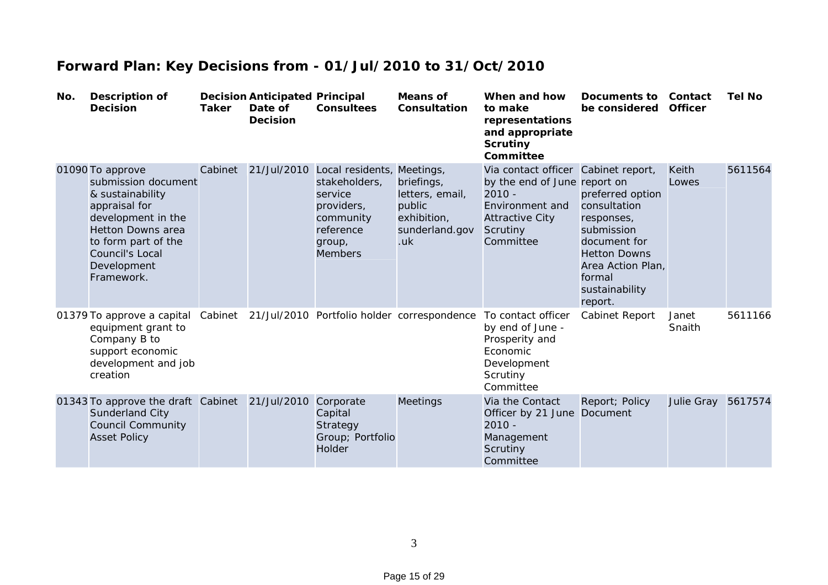| No. | <b>Description of</b><br><b>Decision</b>                                                                                                                                                              | <b>Taker</b> | <b>Decision Anticipated Principal</b><br>Date of<br><b>Decision</b> | <b>Consultees</b>                                                                                                                      | <b>Means of</b><br>Consultation                                                 | When and how<br>to make<br>representations<br>and appropriate<br><b>Scrutiny</b><br>Committee                                                         | Documents to<br>be considered                                                                                                                                   | Contact<br><b>Officer</b> | <b>Tel No</b> |
|-----|-------------------------------------------------------------------------------------------------------------------------------------------------------------------------------------------------------|--------------|---------------------------------------------------------------------|----------------------------------------------------------------------------------------------------------------------------------------|---------------------------------------------------------------------------------|-------------------------------------------------------------------------------------------------------------------------------------------------------|-----------------------------------------------------------------------------------------------------------------------------------------------------------------|---------------------------|---------------|
|     | 01090 To approve<br>submission document<br>& sustainability<br>appraisal for<br>development in the<br><b>Hetton Downs area</b><br>to form part of the<br>Council's Local<br>Development<br>Framework. | Cabinet      |                                                                     | 21/Jul/2010 Local residents, Meetings,<br>stakeholders,<br>service<br>providers,<br>community<br>reference<br>group,<br><b>Members</b> | briefings,<br>letters, email,<br>public<br>exhibition,<br>sunderland.gov<br>.uk | Via contact officer Cabinet report,<br>by the end of June report on<br>$2010 -$<br>Environment and<br><b>Attractive City</b><br>Scrutiny<br>Committee | preferred option<br>consultation<br>responses,<br>submission<br>document for<br><b>Hetton Downs</b><br>Area Action Plan,<br>formal<br>sustainability<br>report. | <b>Keith</b><br>Lowes     | 5611564       |
|     | 01379 To approve a capital Cabinet 21/Jul/2010 Portfolio holder correspondence<br>equipment grant to<br>Company B to<br>support economic<br>development and job<br>creation                           |              |                                                                     |                                                                                                                                        |                                                                                 | To contact officer<br>by end of June -<br>Prosperity and<br>Economic<br>Development<br>Scrutiny<br>Committee                                          | Cabinet Report                                                                                                                                                  | Janet<br>Snaith           | 5611166       |
|     | 01343 To approve the draft Cabinet<br>Sunderland City<br><b>Council Community</b><br><b>Asset Policy</b>                                                                                              |              | 21/Jul/2010                                                         | Corporate<br>Capital<br>Strategy<br>Group; Portfolio<br><b>Holder</b>                                                                  | <b>Meetings</b>                                                                 | Via the Contact<br>Officer by 21 June<br>$2010 -$<br>Management<br>Scrutiny<br>Committee                                                              | Report; Policy<br>Document                                                                                                                                      | Julie Gray 5617574        |               |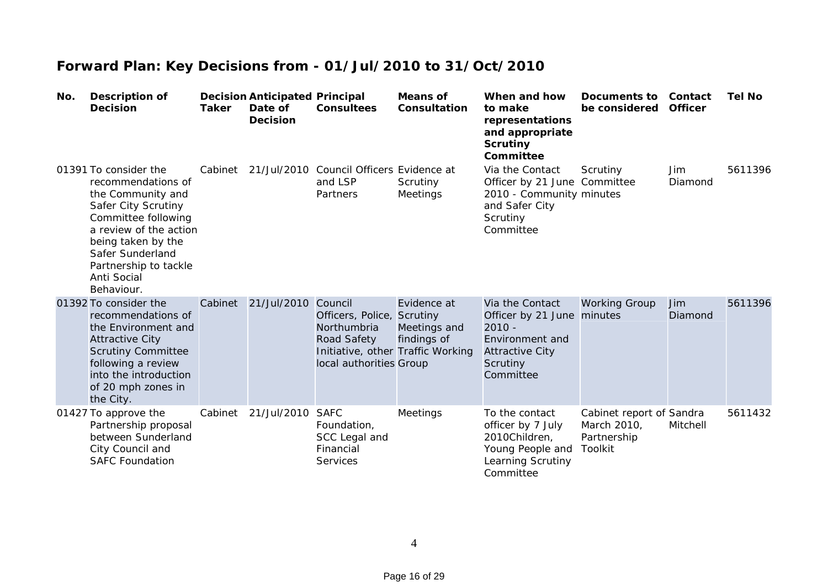| No. | <b>Description of</b><br><b>Decision</b>                                                                                                                                                                                                 | <b>Taker</b> | <b>Decision Anticipated Principal</b><br>Date of<br><b>Decision</b> | <b>Consultees</b>                                                                              | <b>Means of</b><br>Consultation                                                 | When and how<br>to make<br>representations<br>and appropriate<br><b>Scrutiny</b><br>Committee                                   | Documents to<br>be considered                                     | Contact<br><b>Officer</b> | <b>Tel No</b> |
|-----|------------------------------------------------------------------------------------------------------------------------------------------------------------------------------------------------------------------------------------------|--------------|---------------------------------------------------------------------|------------------------------------------------------------------------------------------------|---------------------------------------------------------------------------------|---------------------------------------------------------------------------------------------------------------------------------|-------------------------------------------------------------------|---------------------------|---------------|
|     | 01391 To consider the<br>recommendations of<br>the Community and<br>Safer City Scrutiny<br>Committee following<br>a review of the action<br>being taken by the<br>Safer Sunderland<br>Partnership to tackle<br>Anti Social<br>Behaviour. | Cabinet      |                                                                     | 21/Jul/2010 Council Officers Evidence at<br>and LSP<br>Partners                                | Scrutiny<br>Meetings                                                            | Via the Contact<br>Officer by 21 June Committee<br>2010 - Community minutes<br>and Safer City<br>Scrutiny<br>Committee          | Scrutiny                                                          | Jim.<br>Diamond           | 5611396       |
|     | 01392 To consider the<br>recommendations of<br>the Environment and<br><b>Attractive City</b><br><b>Scrutiny Committee</b><br>following a review<br>into the introduction<br>of 20 mph zones in<br>the City.                              | Cabinet      | 21/Jul/2010                                                         | Council<br>Officers, Police, Scrutiny<br>Northumbria<br>Road Safety<br>local authorities Group | Evidence at<br>Meetings and<br>findings of<br>Initiative, other Traffic Working | Via the Contact<br>Officer by 21 June minutes<br>$2010 -$<br>Environment and<br><b>Attractive City</b><br>Scrutiny<br>Committee | <b>Working Group</b>                                              | Jim<br>Diamond            | 5611396       |
|     | 01427 To approve the<br>Partnership proposal<br>between Sunderland<br>City Council and<br><b>SAFC Foundation</b>                                                                                                                         | Cabinet      | 21/Jul/2010                                                         | <b>SAFC</b><br>Foundation,<br>SCC Legal and<br>Financial<br><b>Services</b>                    | Meetings                                                                        | To the contact<br>officer by 7 July<br>2010Children,<br>Young People and<br>Learning Scrutiny<br>Committee                      | Cabinet report of Sandra<br>March 2010,<br>Partnership<br>Toolkit | Mitchell                  | 5611432       |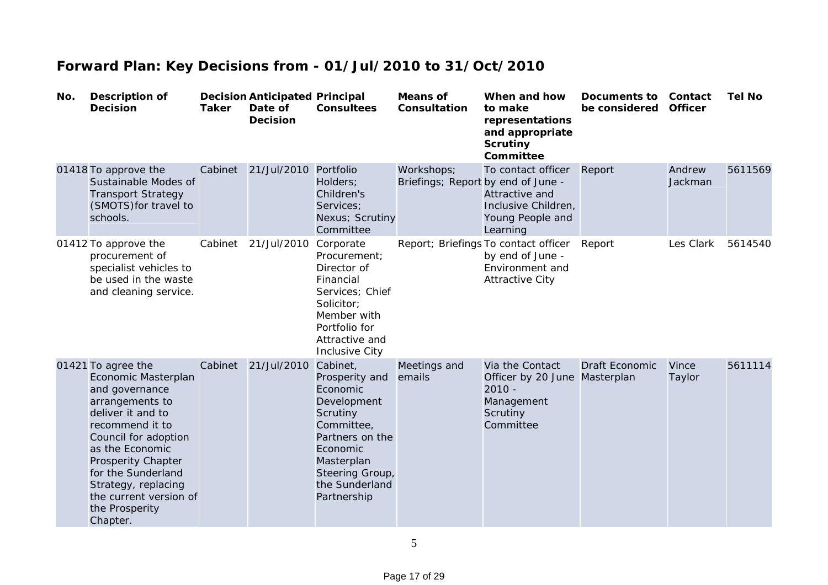| No. | <b>Description of</b><br><b>Decision</b>                                                                                                                                                                                                                                                            | <b>Taker</b> | <b>Decision Anticipated Principal</b><br>Date of<br><b>Decision</b> | <b>Consultees</b>                                                                                                                                                                | <b>Means of</b><br>Consultation                  | When and how<br>to make<br>representations<br>and appropriate<br><b>Scrutiny</b><br>Committee         | Documents to<br>be considered | Contact<br><b>Officer</b> | <b>Tel No</b> |
|-----|-----------------------------------------------------------------------------------------------------------------------------------------------------------------------------------------------------------------------------------------------------------------------------------------------------|--------------|---------------------------------------------------------------------|----------------------------------------------------------------------------------------------------------------------------------------------------------------------------------|--------------------------------------------------|-------------------------------------------------------------------------------------------------------|-------------------------------|---------------------------|---------------|
|     | 01418 To approve the<br>Sustainable Modes of<br><b>Transport Strategy</b><br>(SMOTS) for travel to<br>schools.                                                                                                                                                                                      | Cabinet      | 21/Jul/2010 Portfolio                                               | Holders;<br>Children's<br>Services;<br>Nexus; Scrutiny<br>Committee                                                                                                              | Workshops;<br>Briefings; Report by end of June - | To contact officer<br>Attractive and<br>Inclusive Children,<br>Young People and<br>Learning           | Report                        | Andrew<br>Jackman         | 5611569       |
|     | 01412 To approve the<br>procurement of<br>specialist vehicles to<br>be used in the waste<br>and cleaning service.                                                                                                                                                                                   | Cabinet      | 21/Jul/2010                                                         | Corporate<br>Procurement:<br>Director of<br>Financial<br>Services; Chief<br>Solicitor:<br>Member with<br>Portfolio for<br>Attractive and<br><b>Inclusive City</b>                |                                                  | Report; Briefings To contact officer<br>by end of June -<br>Environment and<br><b>Attractive City</b> | Report                        | Les Clark                 | 5614540       |
|     | 01421 To agree the<br>Economic Masterplan<br>and governance<br>arrangements to<br>deliver it and to<br>recommend it to<br>Council for adoption<br>as the Economic<br><b>Prosperity Chapter</b><br>for the Sunderland<br>Strategy, replacing<br>the current version of<br>the Prosperity<br>Chapter. | Cabinet      | 21/Jul/2010                                                         | Cabinet,<br>Prosperity and<br>Economic<br>Development<br>Scrutiny<br>Committee,<br>Partners on the<br>Economic<br>Masterplan<br>Steering Group,<br>the Sunderland<br>Partnership | Meetings and<br>emails                           | Via the Contact<br>Officer by 20 June Masterplan<br>$2010 -$<br>Management<br>Scrutiny<br>Committee   | <b>Draft Economic</b>         | Vince<br>Taylor           | 5611114       |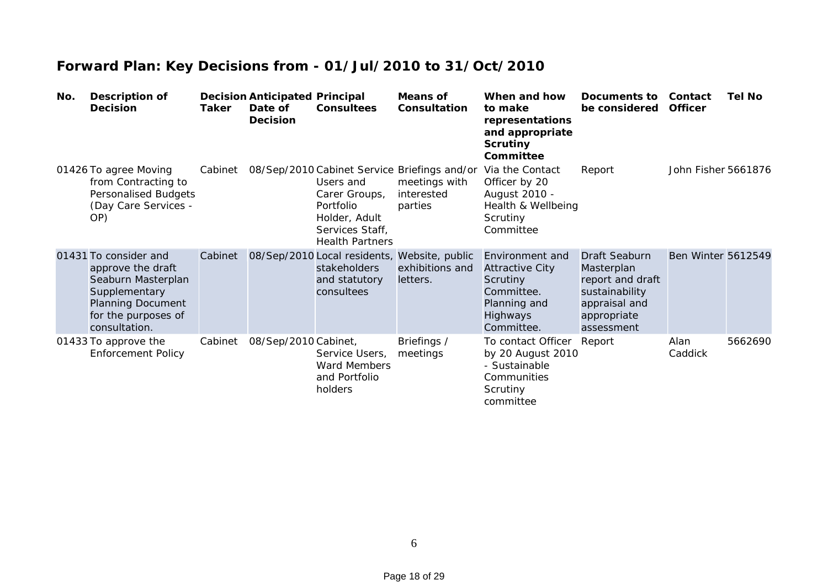| No. | <b>Description of</b><br><b>Decision</b>                                                                                                              | Taker   | <b>Decision Anticipated Principal</b><br>Date of<br><b>Decision</b> | <b>Consultees</b>                                                                                     | Means of<br>Consultation                                                               | When and how<br>to make<br>representations<br>and appropriate<br><b>Scrutiny</b><br>Committee                        | Documents to<br>be considered                                                                                   | Contact<br><b>Officer</b> | <b>Tel No</b> |
|-----|-------------------------------------------------------------------------------------------------------------------------------------------------------|---------|---------------------------------------------------------------------|-------------------------------------------------------------------------------------------------------|----------------------------------------------------------------------------------------|----------------------------------------------------------------------------------------------------------------------|-----------------------------------------------------------------------------------------------------------------|---------------------------|---------------|
|     | 01426 To agree Moving<br>from Contracting to<br>Personalised Budgets<br>(Day Care Services -<br>OP)                                                   | Cabinet |                                                                     | Users and<br>Carer Groups,<br>Portfolio<br>Holder, Adult<br>Services Staff,<br><b>Health Partners</b> | 08/Sep/2010 Cabinet Service Briefings and/or<br>meetings with<br>interested<br>parties | Via the Contact<br>Officer by 20<br>August 2010 -<br>Health & Wellbeing<br>Scrutiny<br>Committee                     | Report                                                                                                          | John Fisher 5661876       |               |
|     | 01431 To consider and<br>approve the draft<br>Seaburn Masterplan<br>Supplementary<br><b>Planning Document</b><br>for the purposes of<br>consultation. | Cabinet |                                                                     | stakeholders<br>and statutory<br>consultees                                                           | 08/Sep/2010 Local residents, Website, public<br>exhibitions and<br>letters.            | Environment and<br><b>Attractive City</b><br><b>Scrutiny</b><br>Committee.<br>Planning and<br>Highways<br>Committee. | Draft Seaburn<br>Masterplan<br>report and draft<br>sustainability<br>appraisal and<br>appropriate<br>assessment | <b>Ben Winter 5612549</b> |               |
|     | 01433 To approve the<br><b>Enforcement Policy</b>                                                                                                     | Cabinet | 08/Sep/2010 Cabinet,                                                | Service Users,<br>Ward Members<br>and Portfolio<br>holders                                            | Briefings /<br>meetings                                                                | To contact Officer<br>by 20 August 2010<br>- Sustainable<br>Communities<br>Scrutiny<br>committee                     | Report                                                                                                          | Alan<br>Caddick           | 5662690       |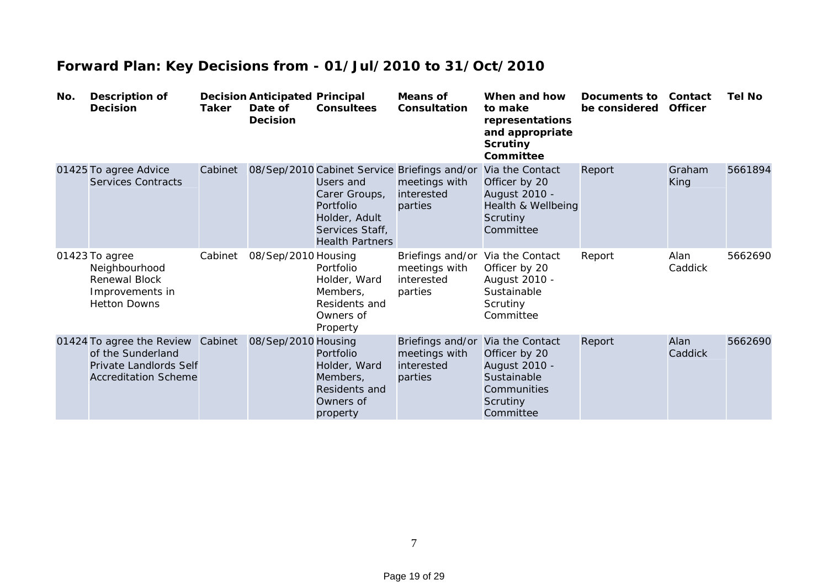| No. | <b>Description of</b><br><b>Decision</b>                                                                        | Taker   | <b>Decision Anticipated Principal</b><br>Date of<br><b>Decision</b> | <b>Consultees</b>                                                                                     | <b>Means of</b><br>Consultation                                                        | When and how<br>to make<br>representations<br>and appropriate<br><b>Scrutiny</b><br>Committee            | Documents to<br>be considered | Contact<br><b>Officer</b> | <b>Tel No</b> |
|-----|-----------------------------------------------------------------------------------------------------------------|---------|---------------------------------------------------------------------|-------------------------------------------------------------------------------------------------------|----------------------------------------------------------------------------------------|----------------------------------------------------------------------------------------------------------|-------------------------------|---------------------------|---------------|
|     | 01425 To agree Advice<br><b>Services Contracts</b>                                                              | Cabinet |                                                                     | Users and<br>Carer Groups,<br>Portfolio<br>Holder, Adult<br>Services Staff,<br><b>Health Partners</b> | 08/Sep/2010 Cabinet Service Briefings and/or<br>meetings with<br>interested<br>parties | Via the Contact<br>Officer by 20<br>August 2010 -<br>Health & Wellbeing<br>Scrutiny<br>Committee         | Report                        | Graham<br>King            | 5661894       |
|     | 01423 To agree<br>Neighbourhood<br><b>Renewal Block</b><br>Improvements in<br><b>Hetton Downs</b>               | Cabinet | 08/Sep/2010 Housing                                                 | Portfolio<br>Holder, Ward<br>Members,<br>Residents and<br>Owners of<br>Property                       | Briefings and/or<br>meetings with<br>interested<br>parties                             | Via the Contact<br>Officer by 20<br>August 2010 -<br>Sustainable<br>Scrutiny<br>Committee                | Report                        | Alan<br>Caddick           | 5662690       |
|     | 01424 To agree the Review Cabinet<br>of the Sunderland<br>Private Landlords Self<br><b>Accreditation Scheme</b> |         | 08/Sep/2010 Housing                                                 | Portfolio<br>Holder, Ward<br>Members,<br>Residents and<br>Owners of<br>property                       | Briefings and/or<br>meetings with<br>interested<br>parties                             | Via the Contact<br>Officer by 20<br>August 2010 -<br>Sustainable<br>Communities<br>Scrutiny<br>Committee | Report                        | Alan<br>Caddick           | 5662690       |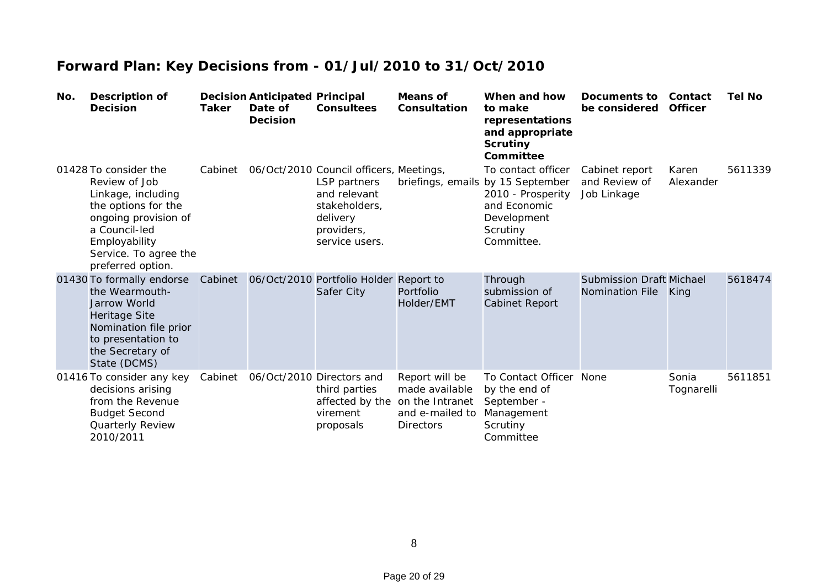| No. | <b>Description of</b><br><b>Decision</b>                                                                                                                                                    | Taker   | <b>Decision Anticipated Principal</b><br>Date of<br><b>Decision</b> | <b>Consultees</b>                                                                                                                    | <b>Means of</b><br>Consultation                                                            | When and how<br>to make<br>representations<br>and appropriate<br><b>Scrutiny</b><br>Committee                                         | Documents to<br>be considered                             | Contact<br><b>Officer</b> | <b>Tel No</b> |
|-----|---------------------------------------------------------------------------------------------------------------------------------------------------------------------------------------------|---------|---------------------------------------------------------------------|--------------------------------------------------------------------------------------------------------------------------------------|--------------------------------------------------------------------------------------------|---------------------------------------------------------------------------------------------------------------------------------------|-----------------------------------------------------------|---------------------------|---------------|
|     | 01428 To consider the<br>Review of Job<br>Linkage, including<br>the options for the<br>ongoing provision of<br>a Council-led<br>Employability<br>Service. To agree the<br>preferred option. | Cabinet |                                                                     | 06/Oct/2010 Council officers, Meetings,<br>LSP partners<br>and relevant<br>stakeholders,<br>delivery<br>providers,<br>service users. |                                                                                            | To contact officer<br>briefings, emails by 15 September<br>2010 - Prosperity<br>and Economic<br>Development<br>Scrutiny<br>Committee. | Cabinet report<br>and Review of<br>Job Linkage            | Karen<br>Alexander        | 5611339       |
|     | 01430 To formally endorse<br>the Wearmouth-<br><b>Jarrow World</b><br><b>Heritage Site</b><br>Nomination file prior<br>to presentation to<br>the Secretary of<br>State (DCMS)               | Cabinet |                                                                     | 06/Oct/2010 Portfolio Holder Report to<br>Safer City                                                                                 | Portfolio<br>Holder/EMT                                                                    | Through<br>submission of<br><b>Cabinet Report</b>                                                                                     | <b>Submission Draft Michael</b><br><b>Nomination File</b> | King                      | 5618474       |
|     | 01416 To consider any key<br>decisions arising<br>from the Revenue<br><b>Budget Second</b><br>Quarterly Review<br>2010/2011                                                                 | Cabinet |                                                                     | 06/Oct/2010 Directors and<br>third parties<br>affected by the<br>virement<br>proposals                                               | Report will be<br>made available<br>on the Intranet<br>and e-mailed to<br><b>Directors</b> | To Contact Officer<br>by the end of<br>September -<br>Management<br>Scrutiny<br>Committee                                             | None                                                      | Sonia<br>Tognarelli       | 5611851       |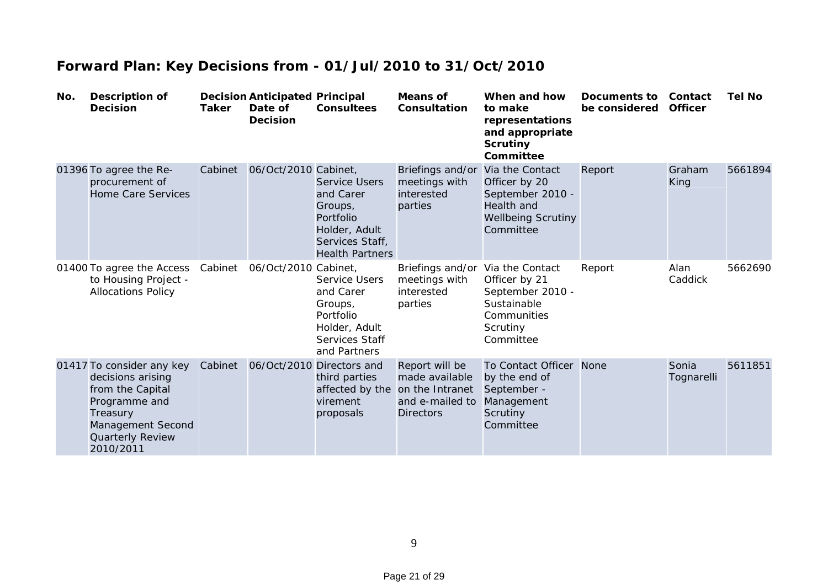| No. | <b>Description of</b><br><b>Decision</b>                                                                                                              | <b>Taker</b> | <b>Decision Anticipated Principal</b><br>Date of<br><b>Decision</b> | <b>Consultees</b>                                                                                                       | Means of<br>Consultation                                                                   | When and how<br>to make<br>representations<br>and appropriate<br><b>Scrutiny</b><br>Committee                | <b>Documents to</b><br>be considered | Contact<br><b>Officer</b> | <b>Tel No</b> |
|-----|-------------------------------------------------------------------------------------------------------------------------------------------------------|--------------|---------------------------------------------------------------------|-------------------------------------------------------------------------------------------------------------------------|--------------------------------------------------------------------------------------------|--------------------------------------------------------------------------------------------------------------|--------------------------------------|---------------------------|---------------|
|     | 01396 To agree the Re-<br>procurement of<br><b>Home Care Services</b>                                                                                 | Cabinet      | 06/Oct/2010 Cabinet,                                                | <b>Service Users</b><br>and Carer<br>Groups,<br>Portfolio<br>Holder, Adult<br>Services Staff,<br><b>Health Partners</b> | Briefings and/or<br>meetings with<br>interested<br>parties                                 | Via the Contact<br>Officer by 20<br>September 2010 -<br>Health and<br><b>Wellbeing Scrutiny</b><br>Committee | Report                               | Graham<br>King            | 5661894       |
|     | 01400 To agree the Access<br>to Housing Project -<br><b>Allocations Policy</b>                                                                        | Cabinet      | 06/Oct/2010 Cabinet,                                                | Service Users<br>and Carer<br>Groups,<br>Portfolio<br>Holder, Adult<br>Services Staff<br>and Partners                   | Briefings and/or<br>meetings with<br>interested<br>parties                                 | Via the Contact<br>Officer by 21<br>September 2010 -<br>Sustainable<br>Communities<br>Scrutiny<br>Committee  | Report                               | Alan<br>Caddick           | 5662690       |
|     | 01417 To consider any key<br>decisions arising<br>from the Capital<br>Programme and<br>Treasury<br>Management Second<br>Quarterly Review<br>2010/2011 | Cabinet      |                                                                     | 06/Oct/2010 Directors and<br>third parties<br>affected by the<br>virement<br>proposals                                  | Report will be<br>made available<br>on the Intranet<br>and e-mailed to<br><b>Directors</b> | To Contact Officer<br>by the end of<br>September -<br>Management<br>Scrutiny<br>Committee                    | None                                 | Sonia<br>Tognarelli       | 5611851       |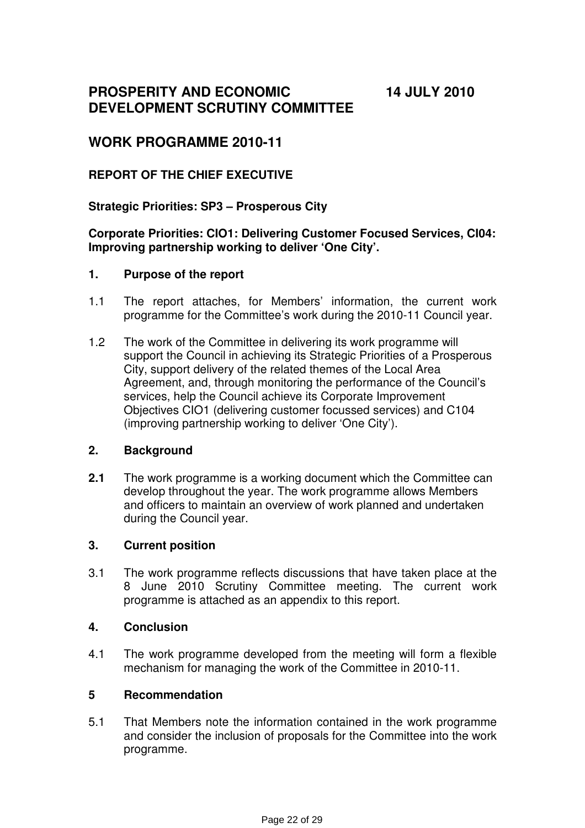**PROSPERITY AND ECONOMIC DEVELOPMENT SCRUTINY COMMITTEE** 

**14 JULY 2010** 

## **WORK PROGRAMME 2010-11**

### **REPORT OF THE CHIEF EXECUTIVE**

### **Strategic Priorities: SP3 – Prosperous City**

### **Corporate Priorities: CIO1: Delivering Customer Focused Services, CI04: Improving partnership working to deliver 'One City'.**

#### **1. Purpose of the report**

- 1.1 The report attaches, for Members' information, the current work programme for the Committee's work during the 2010-11 Council year.
- 1.2 The work of the Committee in delivering its work programme will support the Council in achieving its Strategic Priorities of a Prosperous City, support delivery of the related themes of the Local Area Agreement, and, through monitoring the performance of the Council's services, help the Council achieve its Corporate Improvement Objectives CIO1 (delivering customer focussed services) and C104 (improving partnership working to deliver 'One City').

### **2. Background**

**2.1** The work programme is a working document which the Committee can develop throughout the year. The work programme allows Members and officers to maintain an overview of work planned and undertaken during the Council year.

### **3. Current position**

3.1 The work programme reflects discussions that have taken place at the 8 June 2010 Scrutiny Committee meeting. The current work programme is attached as an appendix to this report.

### **4. Conclusion**

4.1 The work programme developed from the meeting will form a flexible mechanism for managing the work of the Committee in 2010-11.

#### **5 Recommendation**

5.1 That Members note the information contained in the work programme and consider the inclusion of proposals for the Committee into the work programme.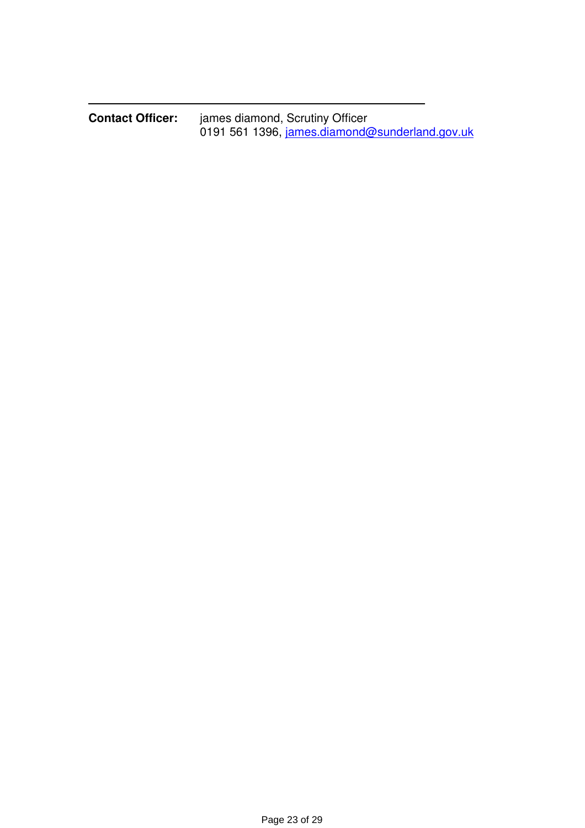| <b>Contact Officer:</b> | james diamond, Scrutiny Officer |                                                |
|-------------------------|---------------------------------|------------------------------------------------|
|                         |                                 | 0191 561 1396, james.diamond@sunderland.gov.uk |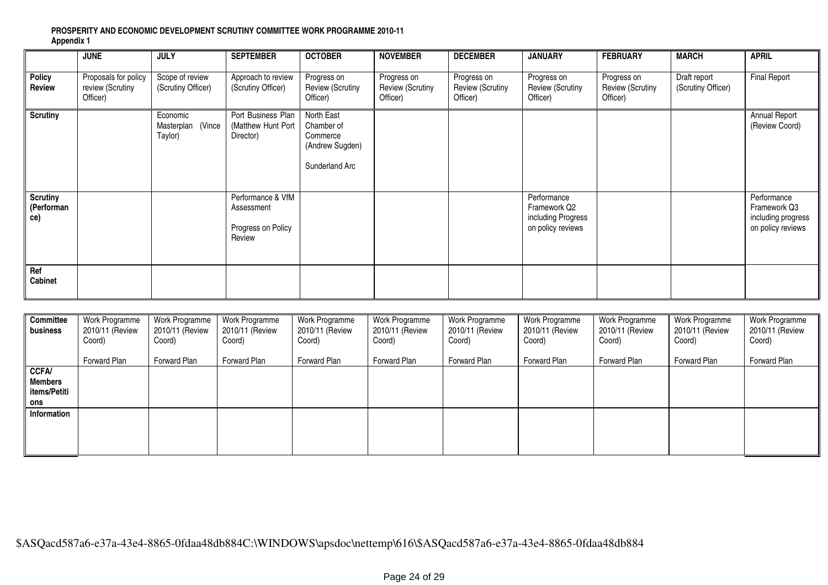#### **PROSPERITY AND ECONOMIC DEVELOPMENT SCRUTINY COMMITTEE WORK PROGRAMME 2010-11 Appendix 1**

|                                      | <b>JUNE</b>                                          | <b>JULY</b>                                 | <b>SEPTEMBER</b>                                                | <b>OCTOBER</b>                                                            | <b>NOVEMBER</b>                                    | <b>DECEMBER</b>                                    | <b>JANUARY</b>                                                         | <b>FEBRUARY</b>                                    | <b>MARCH</b>                       | <b>APRIL</b>                                                           |
|--------------------------------------|------------------------------------------------------|---------------------------------------------|-----------------------------------------------------------------|---------------------------------------------------------------------------|----------------------------------------------------|----------------------------------------------------|------------------------------------------------------------------------|----------------------------------------------------|------------------------------------|------------------------------------------------------------------------|
| <b>Policy</b><br>Review              | Proposals for policy<br>review (Scrutiny<br>Officer) | Scope of review<br>(Scrutiny Officer)       | Approach to review<br>(Scrutiny Officer)                        | Progress on<br><b>Review (Scrutiny</b><br>Officer)                        | Progress on<br><b>Review (Scrutiny</b><br>Officer) | Progress on<br><b>Review (Scrutiny</b><br>Officer) | Progress on<br><b>Review (Scrutiny</b><br>Officer)                     | Progress on<br><b>Review (Scrutiny</b><br>Officer) | Draft report<br>(Scrutiny Officer) | <b>Final Report</b>                                                    |
| <b>Scrutiny</b>                      |                                                      | Economic<br>(Vince<br>Masterplan<br>Taylor) | Port Business Plan<br>(Matthew Hunt Port<br>Director)           | North East<br>Chamber of<br>Commerce<br>(Andrew Sugden)<br>Sunderland Arc |                                                    |                                                    |                                                                        |                                                    |                                    | Annual Report<br>(Review Coord)                                        |
| <b>Scrutiny</b><br>(Performan<br>ce) |                                                      |                                             | Performance & VfM<br>Assessment<br>Progress on Policy<br>Review |                                                                           |                                                    |                                                    | Performance<br>Framework Q2<br>including Progress<br>on policy reviews |                                                    |                                    | Performance<br>Framework Q3<br>including progress<br>on policy reviews |
| Ref<br>Cabinet                       |                                                      |                                             |                                                                 |                                                                           |                                                    |                                                    |                                                                        |                                                    |                                    |                                                                        |

| Committee<br>business                                 | Work Programme<br>2010/11 (Review<br>Coord) | Work Programme<br>2010/11 (Review<br>Coord) | Work Programme<br>2010/11 (Review<br>Coord) | Work Programme<br>2010/11 (Review<br>Coord) | Work Programme<br>2010/11 (Review<br>Coord) | Work Programme<br>2010/11 (Review<br>Coord) | Work Programme<br>2010/11 (Review<br>Coord) | Work Programme<br>2010/11 (Review<br>Coord) | Work Programme<br>2010/11 (Review<br>Coord) | Work Programme<br>2010/11 (Review<br>Coord) |
|-------------------------------------------------------|---------------------------------------------|---------------------------------------------|---------------------------------------------|---------------------------------------------|---------------------------------------------|---------------------------------------------|---------------------------------------------|---------------------------------------------|---------------------------------------------|---------------------------------------------|
|                                                       | Forward Plan                                | Forward Plan                                | Forward Plan                                | Forward Plan                                | Forward Plan                                | Forward Plan                                | Forward Plan                                | Forward Plan                                | Forward Plan                                | Forward Plan                                |
| <b>CCFA/</b><br><b>Members</b><br>items/Petiti<br>ons |                                             |                                             |                                             |                                             |                                             |                                             |                                             |                                             |                                             |                                             |
| Information                                           |                                             |                                             |                                             |                                             |                                             |                                             |                                             |                                             |                                             |                                             |
|                                                       |                                             |                                             |                                             |                                             |                                             |                                             |                                             |                                             |                                             |                                             |

\$ASQacd587a6-e37a-43e4-8865-0fdaa48db884C:\WINDOWS\apsdoc\nettemp\616\\$ASQacd587a6-e37a-43e4-8865-0fdaa48db884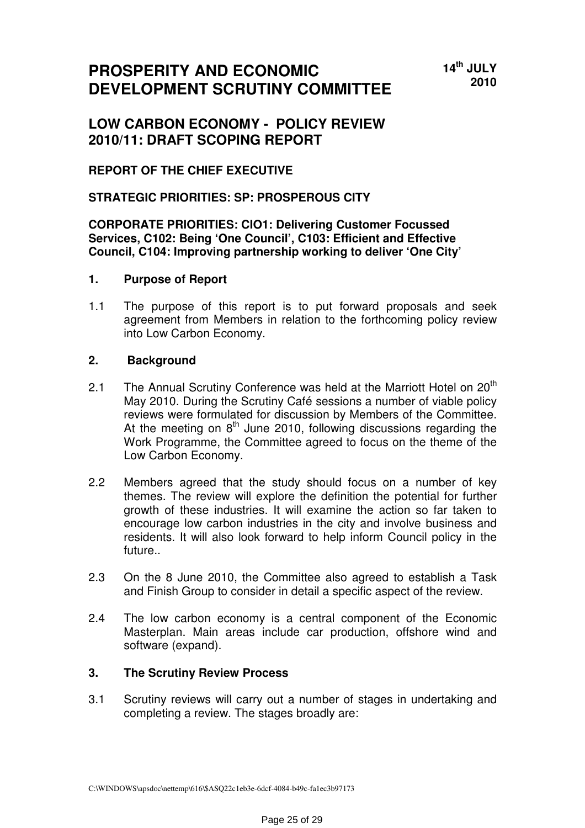# **PROSPERITY AND ECONOMIC DEVELOPMENT SCRUTINY COMMITTEE**

# **LOW CARBON ECONOMY - POLICY REVIEW 2010/11: DRAFT SCOPING REPORT**

### **REPORT OF THE CHIEF EXECUTIVE**

### **STRATEGIC PRIORITIES: SP: PROSPEROUS CITY**

#### **CORPORATE PRIORITIES: CIO1: Delivering Customer Focussed Services, C102: Being 'One Council', C103: Efficient and Effective Council, C104: Improving partnership working to deliver 'One City'**

### **1. Purpose of Report**

1.1 The purpose of this report is to put forward proposals and seek agreement from Members in relation to the forthcoming policy review into Low Carbon Economy.

### **2. Background**

- 2.1 The Annual Scrutiny Conference was held at the Marriott Hotel on  $20<sup>th</sup>$ May 2010. During the Scrutiny Café sessions a number of viable policy reviews were formulated for discussion by Members of the Committee. At the meeting on  $8<sup>th</sup>$  June 2010, following discussions regarding the Work Programme, the Committee agreed to focus on the theme of the Low Carbon Economy.
- 2.2 Members agreed that the study should focus on a number of key themes. The review will explore the definition the potential for further growth of these industries. It will examine the action so far taken to encourage low carbon industries in the city and involve business and residents. It will also look forward to help inform Council policy in the future..
- 2.3 On the 8 June 2010, the Committee also agreed to establish a Task and Finish Group to consider in detail a specific aspect of the review.
- 2.4 The low carbon economy is a central component of the Economic Masterplan. Main areas include car production, offshore wind and software (expand).

### **3. The Scrutiny Review Process**

3.1 Scrutiny reviews will carry out a number of stages in undertaking and completing a review. The stages broadly are: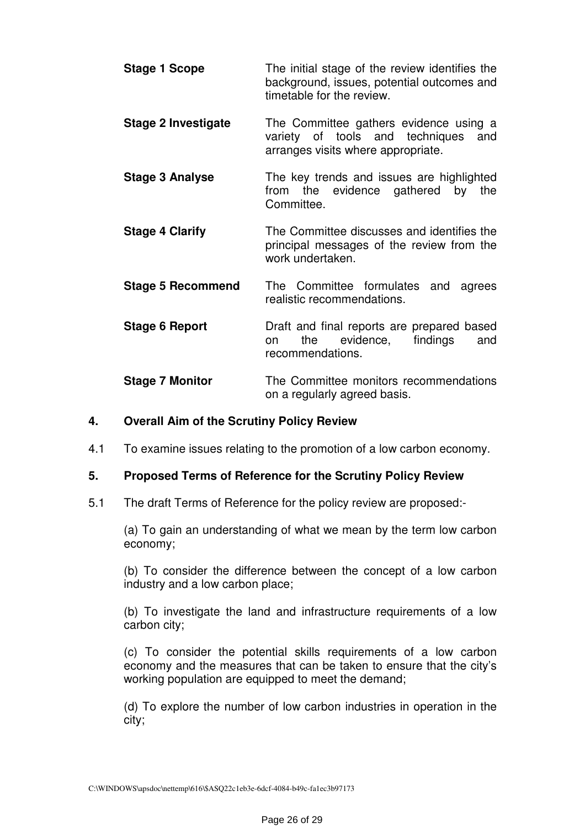**Stage 1 Scope** The initial stage of the review identifies the background, issues, potential outcomes and timetable for the review. **Stage 2 Investigate** The Committee gathers evidence using a variety of tools and techniques and arranges visits where appropriate. **Stage 3 Analyse The key trends and issues are highlighted** from the evidence gathered by the Committee. **Stage 4 Clarify The Committee discusses and identifies the** principal messages of the review from the work undertaken. **Stage 5 Recommend** The Committee formulates and agrees realistic recommendations. **Stage 6 Report Draft and final reports are prepared based** on the evidence, findings and recommendations. **Stage 7 Monitor** The Committee monitors recommendations

### **4. Overall Aim of the Scrutiny Policy Review**

4.1 To examine issues relating to the promotion of a low carbon economy.

#### **5. Proposed Terms of Reference for the Scrutiny Policy Review**

5.1 The draft Terms of Reference for the policy review are proposed:-

(a) To gain an understanding of what we mean by the term low carbon economy;

on a regularly agreed basis.

(b) To consider the difference between the concept of a low carbon industry and a low carbon place;

(b) To investigate the land and infrastructure requirements of a low carbon city;

(c) To consider the potential skills requirements of a low carbon economy and the measures that can be taken to ensure that the city's working population are equipped to meet the demand;

(d) To explore the number of low carbon industries in operation in the city;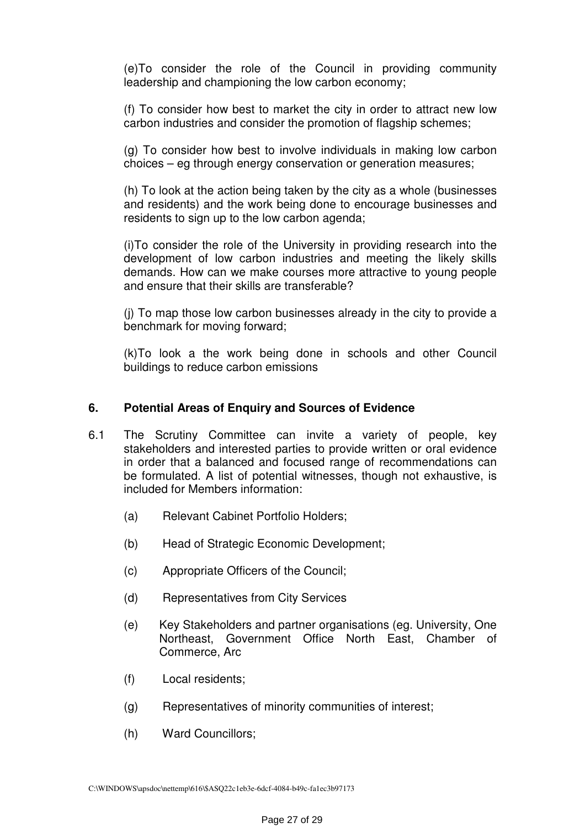(e)To consider the role of the Council in providing community leadership and championing the low carbon economy;

(f) To consider how best to market the city in order to attract new low carbon industries and consider the promotion of flagship schemes;

(g) To consider how best to involve individuals in making low carbon choices – eg through energy conservation or generation measures;

(h) To look at the action being taken by the city as a whole (businesses and residents) and the work being done to encourage businesses and residents to sign up to the low carbon agenda;

(i)To consider the role of the University in providing research into the development of low carbon industries and meeting the likely skills demands. How can we make courses more attractive to young people and ensure that their skills are transferable?

(j) To map those low carbon businesses already in the city to provide a benchmark for moving forward;

(k)To look a the work being done in schools and other Council buildings to reduce carbon emissions

### **6. Potential Areas of Enquiry and Sources of Evidence**

- 6.1 The Scrutiny Committee can invite a variety of people, key stakeholders and interested parties to provide written or oral evidence in order that a balanced and focused range of recommendations can be formulated. A list of potential witnesses, though not exhaustive, is included for Members information:
	- (a) Relevant Cabinet Portfolio Holders;
	- (b) Head of Strategic Economic Development;
	- (c) Appropriate Officers of the Council;
	- (d) Representatives from City Services
	- (e) Key Stakeholders and partner organisations (eg. University, One Northeast, Government Office North East, Chamber of Commerce, Arc
	- (f) Local residents;
	- (g) Representatives of minority communities of interest;
	- (h) Ward Councillors;

C:\WINDOWS\apsdoc\nettemp\616\\$ASQ22c1eb3e-6dcf-4084-b49c-fa1ec3b97173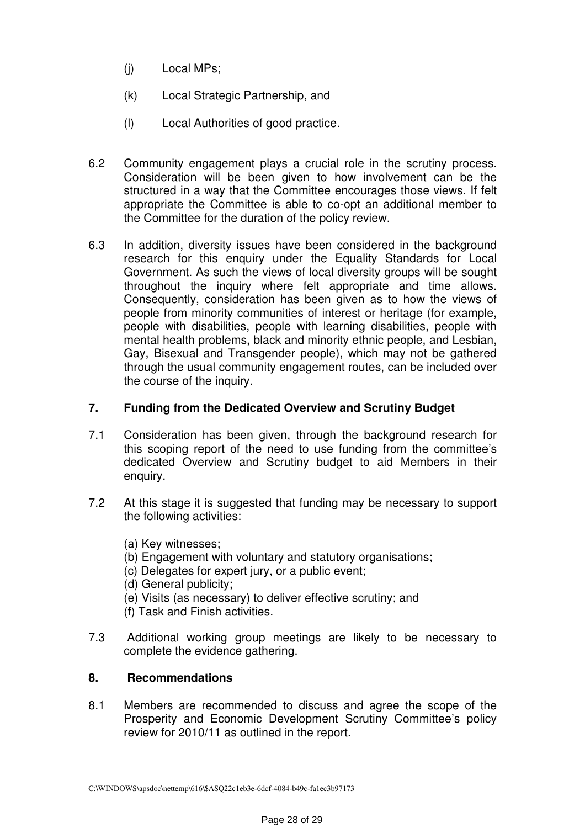- (j) Local MPs;
- (k) Local Strategic Partnership, and
- (l) Local Authorities of good practice.
- 6.2 Community engagement plays a crucial role in the scrutiny process. Consideration will be been given to how involvement can be the structured in a way that the Committee encourages those views. If felt appropriate the Committee is able to co-opt an additional member to the Committee for the duration of the policy review.
- 6.3 In addition, diversity issues have been considered in the background research for this enquiry under the Equality Standards for Local Government. As such the views of local diversity groups will be sought throughout the inquiry where felt appropriate and time allows. Consequently, consideration has been given as to how the views of people from minority communities of interest or heritage (for example, people with disabilities, people with learning disabilities, people with mental health problems, black and minority ethnic people, and Lesbian, Gay, Bisexual and Transgender people), which may not be gathered through the usual community engagement routes, can be included over the course of the inquiry.

### **7. Funding from the Dedicated Overview and Scrutiny Budget**

- 7.1 Consideration has been given, through the background research for this scoping report of the need to use funding from the committee's dedicated Overview and Scrutiny budget to aid Members in their enquiry.
- 7.2 At this stage it is suggested that funding may be necessary to support the following activities:
	- (a) Key witnesses;
	- (b) Engagement with voluntary and statutory organisations;
	- (c) Delegates for expert jury, or a public event;
	- (d) General publicity;
	- (e) Visits (as necessary) to deliver effective scrutiny; and
	- (f) Task and Finish activities.
- 7.3 Additional working group meetings are likely to be necessary to complete the evidence gathering.

### **8. Recommendations**

8.1 Members are recommended to discuss and agree the scope of the Prosperity and Economic Development Scrutiny Committee's policy review for 2010/11 as outlined in the report.